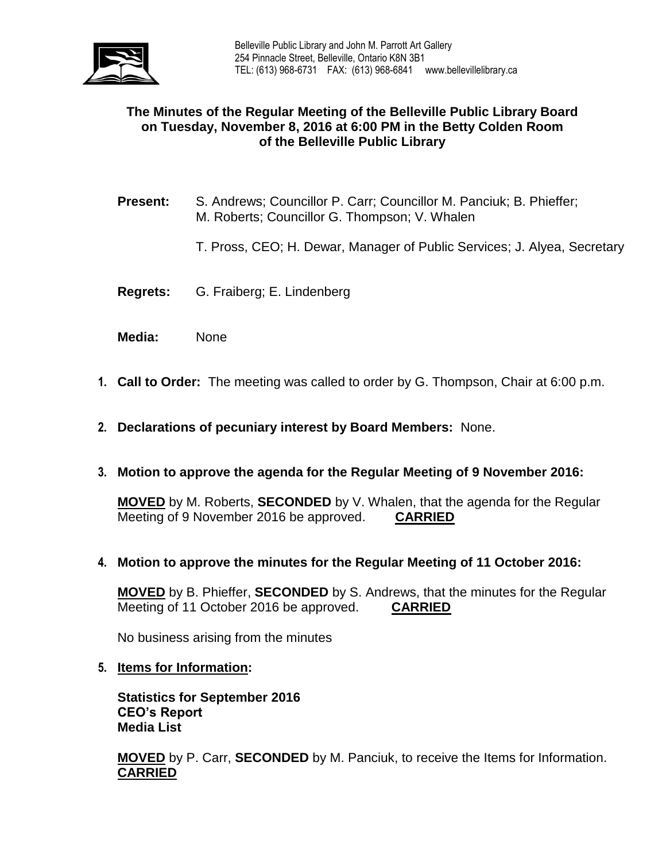

# **The Minutes of the Regular Meeting of the Belleville Public Library Board on Tuesday, November 8, 2016 at 6:00 PM in the Betty Colden Room of the Belleville Public Library**

- **Present:** S. Andrews; Councillor P. Carr; Councillor M. Panciuk; B. Phieffer; M. Roberts; Councillor G. Thompson; V. Whalen
	- T. Pross, CEO; H. Dewar, Manager of Public Services; J. Alyea, Secretary
- **Regrets:** G. Fraiberg; E. Lindenberg
- **Media:** None
- **1. Call to Order:** The meeting was called to order by G. Thompson, Chair at 6:00 p.m.
- **2. Declarations of pecuniary interest by Board Members:** None.
- **3. Motion to approve the agenda for the Regular Meeting of 9 November 2016:**

**MOVED** by M. Roberts, **SECONDED** by V. Whalen, that the agenda for the Regular Meeting of 9 November 2016 be approved. **CARRIED**

**4. Motion to approve the minutes for the Regular Meeting of 11 October 2016:**

**MOVED** by B. Phieffer, **SECONDED** by S. Andrews, that the minutes for the Regular Meeting of 11 October 2016 be approved. **CARRIED**

No business arising from the minutes

**5. Items for Information:**

**Statistics for September 2016 CEO's Report Media List**

**MOVED** by P. Carr, **SECONDED** by M. Panciuk, to receive the Items for Information. **CARRIED**